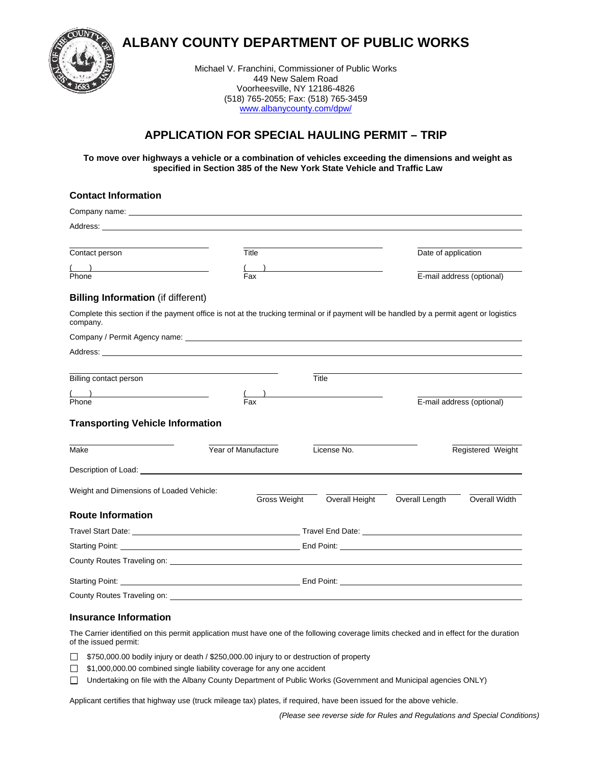

**ALBANY COUNTY DEPARTMENT OF PUBLIC WORKS** 

Michael V. Franchini, Commissioner of Public Works 449 New Salem Road Voorheesville, NY 12186-4826 (518) 765-2055; Fax: (518) 765-3459 [www.albanycounty.com/dpw/](http://www.albanycounty.com/dpw/)

# **APPLICATION FOR SPECIAL HAULING PERMIT – TRIP**

**To move over highways a vehicle or a combination of vehicles exceeding the dimensions and weight as specified in Section 385 of the New York State Vehicle and Traffic Law**

## **Contact Information**

| Contact person                                                                                                                                                                                                                       | Title                                                                                                                                                                                                                                |  |                | Date of application |                           |  |
|--------------------------------------------------------------------------------------------------------------------------------------------------------------------------------------------------------------------------------------|--------------------------------------------------------------------------------------------------------------------------------------------------------------------------------------------------------------------------------------|--|----------------|---------------------|---------------------------|--|
| $\overline{\phantom{a}}$<br>Phone                                                                                                                                                                                                    | Fax                                                                                                                                                                                                                                  |  |                |                     | E-mail address (optional) |  |
| <b>Billing Information (if different)</b>                                                                                                                                                                                            |                                                                                                                                                                                                                                      |  |                |                     |                           |  |
| Complete this section if the payment office is not at the trucking terminal or if payment will be handled by a permit agent or logistics<br>company.                                                                                 |                                                                                                                                                                                                                                      |  |                |                     |                           |  |
|                                                                                                                                                                                                                                      |                                                                                                                                                                                                                                      |  |                |                     |                           |  |
|                                                                                                                                                                                                                                      |                                                                                                                                                                                                                                      |  |                |                     |                           |  |
|                                                                                                                                                                                                                                      |                                                                                                                                                                                                                                      |  |                |                     |                           |  |
| Billing contact person                                                                                                                                                                                                               |                                                                                                                                                                                                                                      |  | Title          |                     |                           |  |
| $\begin{array}{c}\n\hline\n\text{Phone} \\ \hline\n\end{array}$                                                                                                                                                                      | Fax                                                                                                                                                                                                                                  |  |                |                     | E-mail address (optional) |  |
| <b>Transporting Vehicle Information</b>                                                                                                                                                                                              |                                                                                                                                                                                                                                      |  |                |                     |                           |  |
| Make                                                                                                                                                                                                                                 | Year of Manufacture                                                                                                                                                                                                                  |  | License No.    |                     | Registered Weight         |  |
| Description of Load: <u>contract and a series of the series of the series of the series of the series of the series of the series of the series of the series of the series of the series of the series of the series of the ser</u> |                                                                                                                                                                                                                                      |  |                |                     |                           |  |
| Weight and Dimensions of Loaded Vehicle:                                                                                                                                                                                             |                                                                                                                                                                                                                                      |  |                |                     |                           |  |
|                                                                                                                                                                                                                                      | Gross Weight                                                                                                                                                                                                                         |  | Overall Height | Overall Length      | Overall Width             |  |
| <b>Route Information</b>                                                                                                                                                                                                             |                                                                                                                                                                                                                                      |  |                |                     |                           |  |
|                                                                                                                                                                                                                                      | Travel Start Date: <u>New York: New York: New York: New York: New York: New York: New York: New York: New York: New York: New York: New York: New York: New York: New York: New York: New York: New York: New York: New York: Ne</u> |  |                |                     |                           |  |
|                                                                                                                                                                                                                                      |                                                                                                                                                                                                                                      |  |                |                     |                           |  |
|                                                                                                                                                                                                                                      |                                                                                                                                                                                                                                      |  |                |                     |                           |  |
|                                                                                                                                                                                                                                      |                                                                                                                                                                                                                                      |  |                |                     |                           |  |
|                                                                                                                                                                                                                                      |                                                                                                                                                                                                                                      |  |                |                     |                           |  |

### **Insurance Information**

The Carrier identified on this permit application must have one of the following coverage limits checked and in effect for the duration of the issued permit:

 $\Box$  \$750,000.00 bodily injury or death / \$250,000.00 injury to or destruction of property

 $\Box$  \$1,000,000.00 combined single liability coverage for any one accident

Undertaking on file with the Albany County Department of Public Works (Government and Municipal agencies ONLY)

Applicant certifies that highway use (truck mileage tax) plates, if required, have been issued for the above vehicle.

 *(Please see reverse side for Rules and Regulations and Special Conditions)*